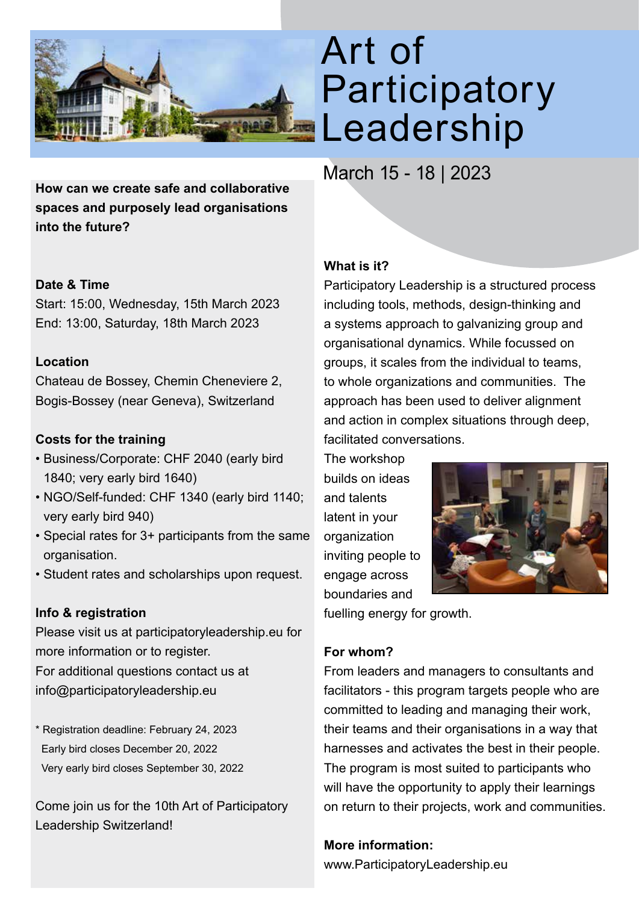

**How can we create safe and collaborative spaces and purposely lead organisations into the future?**

### **Date & Time**

Start: 15:00, Wednesday, 15th March 2023 End: 13:00, Saturday, 18th March 2023

### **Location**

Chateau de Bossey, Chemin Cheneviere 2, Bogis-Bossey (near Geneva), Switzerland

## **Costs for the training**

- Business/Corporate: CHF 2040 (early bird 1840; very early bird 1640)
- NGO/Self-funded: CHF 1340 (early bird 1140; very early bird 940)
- Special rates for 3+ participants from the same organisation.
- Student rates and scholarships upon request.

## **Info & registration**

Please visit us at participatoryleadership.eu for more information or to register. For additional questions contact us at info@participatoryleadership.eu

\* Registration deadline: February 24, 2023 Early bird closes December 20, 2022 Very early bird closes September 30, 2022

Come join us for the 10th Art of Participatory Leadership Switzerland!

# Art of Participatory Leadership

March 15 - 18 | 2023

## **What is it?**

Participatory Leadership is a structured process including tools, methods, design-thinking and a systems approach to galvanizing group and organisational dynamics. While focussed on groups, it scales from the individual to teams, to whole organizations and communities. The approach has been used to deliver alignment and action in complex situations through deep, facilitated conversations.

The workshop builds on ideas and talents latent in your organization inviting people to engage across boundaries and



fuelling energy for growth.

## **For whom?**

From leaders and managers to consultants and facilitators - this program targets people who are committed to leading and managing their work, their teams and their organisations in a way that harnesses and activates the best in their people. The program is most suited to participants who will have the opportunity to apply their learnings on return to their projects, work and communities.

## **More information:**

www.ParticipatoryLeadership.eu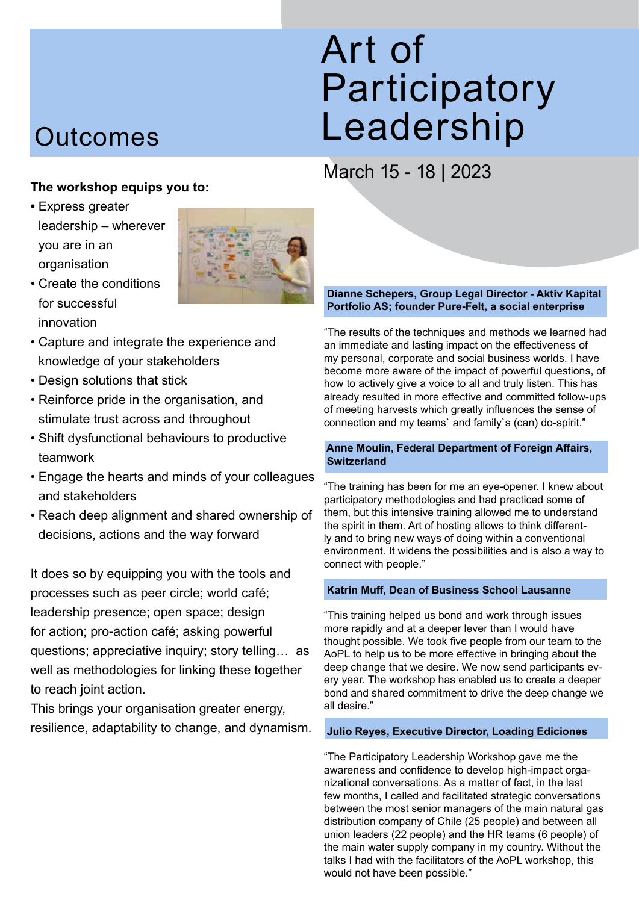# Art of Participatory Leadership

# March 15 - 18 | 2023

# **Outcomes**

## **The workshop equips you to:**

**•** Express greater leadership – wherever you are in an organisation



- Create the conditions for successful innovation
- Capture and integrate the experience and knowledge of your stakeholders
- Design solutions that stick
- Reinforce pride in the organisation, and stimulate trust across and throughout
- Shift dysfunctional behaviours to productive teamwork
- Engage the hearts and minds of your colleagues and stakeholders
- Reach deep alignment and shared ownership of decisions, actions and the way forward

It does so by equipping you with the tools and processes such as peer circle; world café; leadership presence; open space; design for action; pro-action café; asking powerful questions; appreciative inquiry; story telling… as well as methodologies for linking these together to reach joint action.

This brings your organisation greater energy, resilience, adaptability to change, and dynamism.

#### **Dianne Schepers, Group Legal Director - Aktiv Kapital Portfolio AS; founder Pure-Felt, a social enterprise**

"The results of the techniques and methods we learned had an immediate and lasting impact on the effectiveness of my personal, corporate and social business worlds. I have become more aware of the impact of powerful questions, of how to actively give a voice to all and truly listen. This has already resulted in more effective and committed follow-ups of meeting harvests which greatly influences the sense of connection and my teams` and family`s (can) do-spirit."

#### **Anne Moulin, Federal Department of Foreign Affairs, Switzerland**

"The training has been for me an eye-opener. I knew about participatory methodologies and had practiced some of them, but this intensive training allowed me to understand the spirit in them. Art of hosting allows to think differently and to bring new ways of doing within a conventional environment. It widens the possibilities and is also a way to connect with people."

#### **Katrin Muff, Dean of Business School Lausanne**

"This training helped us bond and work through issues more rapidly and at a deeper lever than I would have thought possible. We took five people from our team to the AoPL to help us to be more effective in bringing about the deep change that we desire. We now send participants every year. The workshop has enabled us to create a deeper bond and shared commitment to drive the deep change we all desire."

#### **Julio Reyes, Executive Director, Loading Ediciones**

"The Participatory Leadership Workshop gave me the awareness and confidence to develop high-impact organizational conversations. As a matter of fact, in the last few months, I called and facilitated strategic conversations between the most senior managers of the main natural gas distribution company of Chile (25 people) and between all union leaders (22 people) and the HR teams (6 people) of the main water supply company in my country. Without the talks I had with the facilitators of the AoPL workshop, this would not have been possible."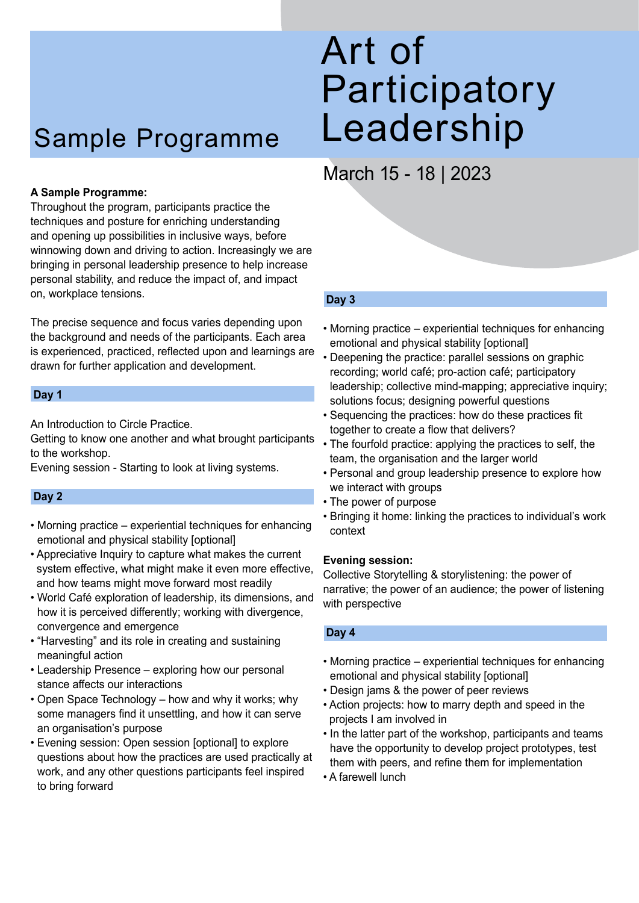# Sample Programme

#### **A Sample Programme:**

Throughout the program, participants practice the techniques and posture for enriching understanding and opening up possibilities in inclusive ways, before winnowing down and driving to action. Increasingly we are bringing in personal leadership presence to help increase personal stability, and reduce the impact of, and impact on, workplace tensions.

The precise sequence and focus varies depending upon the background and needs of the participants. Each area is experienced, practiced, reflected upon and learnings are drawn for further application and development.

#### **Day 1**

An Introduction to Circle Practice.

Getting to know one another and what brought participants to the workshop.

Evening session - Starting to look at living systems.

#### **Day 2**

- Morning practice experiential techniques for enhancing emotional and physical stability [optional]
- Appreciative Inquiry to capture what makes the current system effective, what might make it even more effective, and how teams might move forward most readily
- World Café exploration of leadership, its dimensions, and how it is perceived differently; working with divergence, convergence and emergence
- "Harvesting" and its role in creating and sustaining meaningful action
- Leadership Presence exploring how our personal stance affects our interactions
- Open Space Technology how and why it works; why some managers find it unsettling, and how it can serve an organisation's purpose
- Evening session: Open session [optional] to explore questions about how the practices are used practically at work, and any other questions participants feel inspired to bring forward

# Art of Participatory Leadership

# March 15 - 18 | 2023

#### **Day 3**

- Morning practice experiential techniques for enhancing emotional and physical stability [optional]
- Deepening the practice: parallel sessions on graphic recording; world café; pro-action café; participatory leadership; collective mind-mapping; appreciative inquiry; solutions focus; designing powerful questions
- Sequencing the practices: how do these practices fit together to create a flow that delivers?
- The fourfold practice: applying the practices to self, the team, the organisation and the larger world
- Personal and group leadership presence to explore how we interact with groups
- The power of purpose
- Bringing it home: linking the practices to individual's work context

#### **Evening session:**

Collective Storytelling & storylistening: the power of narrative; the power of an audience; the power of listening with perspective

#### **Day 4**

- Morning practice experiential techniques for enhancing emotional and physical stability [optional]
- Design jams & the power of peer reviews
- Action projects: how to marry depth and speed in the projects I am involved in
- In the latter part of the workshop, participants and teams have the opportunity to develop project prototypes, test them with peers, and refine them for implementation
- A farewell lunch